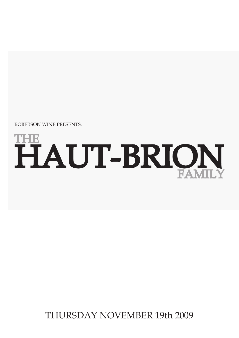THURSDAY NOVEMBER 19th 2009

# $\mathbf{T}\mathbf{H}$ HAUT-BRION FAMILY

ROBERSON WINE PRESENTS: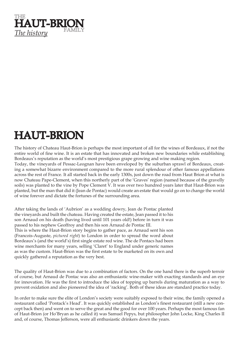

### HAUT-BRION

The history of Chateau Haut-Brion is perhaps the most important of all for the wines of Bordeaux, if not the entire world of fine wine. It is an estate that has innovated and broken new boundaries while establishing Bordeaux's reputation as the world's most prestigious grape growing and wine making region.

Today, the vineyards of Pessac-Leognan have been enveloped by the suburban sprawl of Bordeaux, creating a somewhat bizarre environment compared to the more rural splendour of other famous appellations across the rest of France. It all started back in the early 1300s, just down the road from Haut Brion at what is now Chateau Pape-Clement, when this northerly part of the 'Graves' region (named because of the gravelly soils) was planted to the vine by Pope Clement V. It was over two hundred years later that Haut-Brion was planted, but the man that did it (Jean de Pontac) would create an estate that would go on to change the world of wine forever and dictate the fortunes of the surrounding area.

After taking the lands of 'Aubrion' as a wedding dowry, Jean de Pontac planted the vineyards and built the chateau. Having created the estate, Jean passed it to his son Arnaud on his death (having lived until 101 years old!) before in turn it was passed to his nephew Geoffroy and then his son Arnaud de Pontac III. This is where the Haut-Brion story begins to gather pace, as Arnaud sent his son (Francois-Auguste, *pictured right*) to London in order to spread the word about Bordeaux's (and the world's) first single estate red wine. The de Pontacs had been wine merchants for many years, selling 'Claret' to England under generic names as was the custom. Haut-Brion was the first estate to be marketed on its own and quickly gathered a reputation as the very best.

The quality of Haut-Brion was due to a combination of factors. On the one hand there is the superb terroir of course, but Arnaud de Pontac was also an enthusiastic wine-maker with exacting standards and an eye for innovation. He was the first to introduce the idea of topping up barrels during maturation as a way to prevent oxidation and also pioneered the idea of 'racking'. Both of these ideas are standard practice today.

In order to make sure the elite of London's society were suitably exposed to their wine, the family opened a restaurant called 'Pontack's Head'. It was quickly established as London's finest restaurant (still a new concept back then) and went on to serve the great and the good for over 100 years. Perhaps the most famous fan of Haut-Brion (or Ho'Bryan as he called it) was Samuel Pepys, but philosopher John Locke, King Charles II and, of course, Thomas Jefferson, were all enthusiastic drinkers down the years.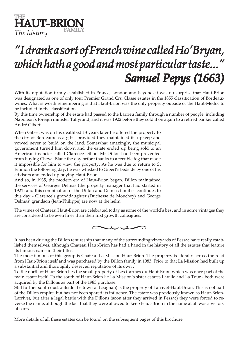THE **HAUT-BRION The history** 

## *"I drank a sort of French wine called Ho'Bryan, which hath a good and most particular taste..." Samuel Pepys (1663)*

With its reputation firmly established in France, London and beyond, it was no surprise that Haut-Brion was designated as one of only four Premier Grand Cru Classé estates in the 1855 classification of Bordeaux wines. What is worth remembering is that Haut-Brion was the only property outside of the Haut-Medoc to be included in the classification.

By this time ownership of the estate had passed to the Larrieu family through a number of people, including Napoleon's foreign minister Tallyrand, and it was 1922 before they sold it on again to a retired banker called André Gibert.

When Gibert was on his deathbed 13 years later he offered the property to the city of Bordeaux as a gift - provided they maintained its upkeep and vowed never to build on the land. Somewhat amazingly, the municipal government turned him down and the estate ended up being sold to an American financier called Clarence Dillon. Mr Dillon had been prevented from buying Cheval Blanc the day before thanks to a terrible fog that made it impossible for him to view the property. As he was due to return to St Emilion the following day, he was whisked to Gibert's bedside by one of his advisors and ended up buying Haut-Brion.

And so, in 1935, the modern era of Haut-Brion began. Dillon maintained the services of Georges Delmas (the property manager that had started in 1921) and this combination of the Dillon and Delmas families continues to this day - Clarence's granddaughter (Duchesse de Mouchey) and George Delmas' grandson (Jean-Philippe) are now at the helm.

The wines of Chateau Haut-Brion are celebrated today as some of the world's best and in some vintages they are considered to be even finer than their first growth colleagues.



It has been during the Dillon tenureship that many of the surrounding vineyards of Pessac have really established themselves, although Chateau Haut-Brion has had a hand in the history of all the estates that feature its famous name in their titles.

The most famous of this group is Chateau La Mission Haut-Brion. The property is literally across the road from Haut-Brion itself and was purchased by the Dillon family in 1983. Prior to that La Mission had built up a substantial and thoroughly deserved reputation of its own .

To the north of Haut-Brion lies the small property of Les Carmes du Haut-Brion which was once part of the main estate itself. To the south of Haut-Brion lie La Mission's sister estates Laville and La Tour - both were acquired by the Dillons as part of the 1983 purchase.

Still further south (just outside the town of Leognan) is the property of Larrivet-Haut-Brion. This is not part of the Dillon empire, but has not been spared its influence. The estate was previously known as Haut-Brion-Larrivet, but after a legal battle with the Dillons (soon after they arrived in Pessac) they were forced to reverse the name, although the fact that they were allowed to keep Haut-Brion in the name at all was a victory of sorts.

More details of all these estates can be found on the subsequent pages of this brochure.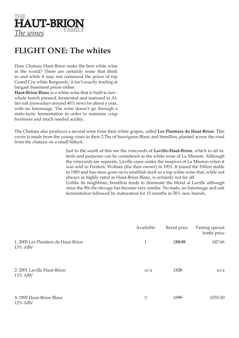

#### **FLIGHT ONE: The whites**

Does Chateau Haut-Brion make the best white wine in the world? There are certainly some that think so and while it may not command the prices of top Grand Cru white Burgundy, it isn't exactly trading at bargain basement prices either.

**Haut-Brion Blanc** is a white wine that is built to last whole bunch pressed, fermented and matured in Allier oak (nowadays around 40% new) for about a year, with no batonnage. The wine doesn't go through a malo-lactic fermentation in order to maintain crisp freshness and much needed acidity.

The Chateau also produces a second wine from their white grapes, called **Les Plantiers du Haut-Brion**. This cuvée is made from the young vines in their 2.7ha of Sauvignon Blanc and Semillon, planted across the road from the chateau on a small hillock.

> Just to the south of this are the vineyards of **Laville-Haut-Brion**, which to all intents and purposes can be considered as the white wine of La Mission. Although the vineyards are separate, Laville came under the auspices of La Mission when it was sold to Frederic Woltner (the then owner) in 1931. It joined the Dillon stable in 1983 and has since gone on to establish itself as a top white wine that, while not always as highly rated as Haut-Brion Blanc, is certainly not far off. Unlike its neighbour, Semillon tends to dominate the blend at Laville although since the 90s the elevage has become very similar. No malo, no batonnage and oak fermentation followed by maturation for 15 months in 50% new barrels.

|                                                | Available | Retail price | Tasting special<br>bottle price |
|------------------------------------------------|-----------|--------------|---------------------------------|
| 1: 2005 Les Plantiers de Haut-Brion<br>13% ABV | 1         | £52.95       | £47.66                          |
| 2: 2001 Laville Haut-Brion<br>13% ABV          | n/a       | £420         | n/a                             |
| 3: 1992 Haut-Brion Blanc<br>12% ABV            | 3         | £395         | £355.50                         |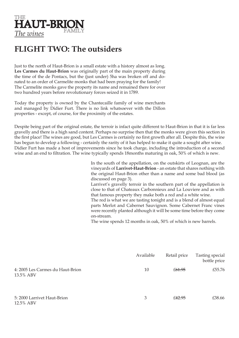

#### **FLIGHT TWO: The outsiders**

Just to the north of Haut-Brion is a small estate with a history almost as long. **Les Carmes du Haut-Brion** was originally part of the main property during the time of the de Pontacs, but the (just under) 5ha was broken off and donated to an order of Carmelite monks that had been praying for the family! The Carmelite monks gave the property its name and remained there for over two hundred years before revolutionary forces seized it in 1789.

Today the property is owned by the Chantecaille family of wine merchants and managed by Didier Furt. There is no link whatsoever with the Dillon properties - except, of course, for the proximity of the estates.

Despite being part of the original estate, the terroir is infact quite different to Haut-Brion in that it is far less gravelly and there is a high sand content. Perhaps no surprise then that the monks were given this section in the first place! The wines are good, but Les Carmes is certainly no first growth after all. Despite this, the wine has begun to develop a following - certainly the rarity of it has helped to make it quite a sought after wine. Didier Furt has made a host of improvements since he took charge, including the introduction of a second wine and an end to filtration. The wine typically spends 18months maturing in oak, 50% of which is new.

> In the south of the appellation, on the outskirts of Leognan, are the vineyards of **Larrivet-Haut-Brion** - an estate that shares nothing with the original Haut-Brion other than a name and some bad blood (as discussed on page 3).

> Larrivet's gravelly terroir in the southern part of the appellation is close to that of Chateaux Carbonnieux and La Louviere and as with that famous property they make both a red and a white wine.

> The red is what we are tasting tonight and is a blend of almost equal parts Merlot and Cabernet Sauvignon. Some Cabernet Franc vines were recently planted although it will be some time before they come on-stream.

The wine spends 12 months in oak, 50% of which is new barrels.

|                                               | Available | Retail price       | Tasting special<br>bottle price |
|-----------------------------------------------|-----------|--------------------|---------------------------------|
| 4: 2005 Les Carmes du Haut-Brion<br>13.5% ABV | 10        | £ <del>61.95</del> | £55.76                          |
| 5: 2000 Larrivet Haut-Brion<br>12.5% ABV      | 3         | £ <del>42.95</del> | £38.66                          |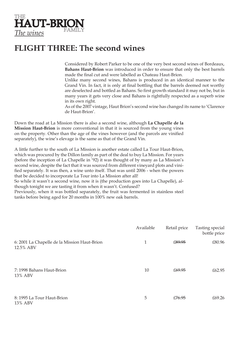

#### **FLIGHT THREE: The second wines**

Considered by Robert Parker to be one of the very best second wines of Bordeaux, **Bahans Haut-Brion** was introduced in order to ensure that only the best barrels made the final cut and were labelled as Chateau Haut-Brion.

Unlike many second wines, Bahans is produced in an identical manner to the Grand Vin. In fact, it is only at final bottling that the barrels deemed not worthy are deselected and bottled as Bahans. So first growth standard it may not be, but in many years it gets very close and Bahans is rightfully respected as a superb wine in its own right.

As of the 2007 vintage, Haut Brion's second wine has changed its name to 'Clarence de Haut-Brion'.

Down the road at La Mission there is also a second wine, although **La Chapelle de la Mission Haut-Brion** is more conventional in that it is sourced from the young vines on the property. Other than the age of the vines however (and the parcels are vinified separately), the wine's elevage is the same as that of the Grand Vin.

A little further to the south of La Mission is another estate called La Tour Haut-Brion, which was procured by the Dillon family as part of the deal to buy La Mission. For years (before the inception of La Chapelle in '92) it was thought of by many as La Mission's second wine, despite the fact that it was sourced from different vineyard plots and vinified separately. It was then, a wine unto itself. That was until 2006 - when the powers that be decided to incorporate La Tour into La Mission after all!

So while it wasn't a second wine, now it is (the production goes into La Chapelle), although tonight we are tasting it from when it wasn't. Confused?

Previously, when it was bottled separately, the fruit was fermented in stainless steel tanks before being aged for 20 months in 100% new oak barrels.

|                                                           | Available | Retail price       | Tasting special<br>bottle price |
|-----------------------------------------------------------|-----------|--------------------|---------------------------------|
| 6: 2001 La Chapelle de la Mission Haut-Brion<br>12.5% ABV | 1         | £89.95             | £80.96                          |
| 7: 1998 Bahans Haut-Brion<br>13% ABV                      | 10        | £ <del>69.95</del> | £62.95                          |
| 8: 1995 La Tour Haut-Brion<br>13% ABV                     | 5         | £76.95             | £69.26                          |